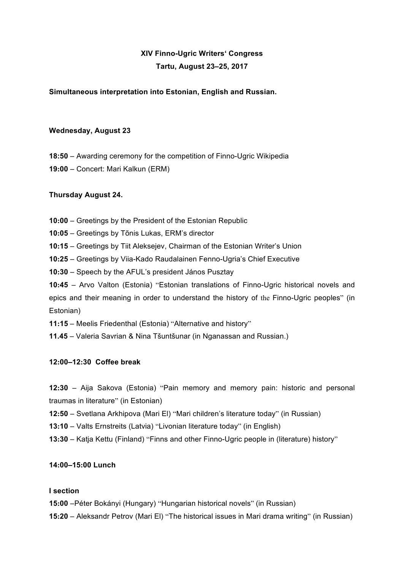# **XIV Finno-Ugric Writers' Congress Tartu, August 23–25, 2017**

## **Simultaneous interpretation into Estonian, English and Russian.**

#### **Wednesday, August 23**

**18:50** – Awarding ceremony for the competition of Finno-Ugric Wikipedia **19:00** – Concert: Mari Kalkun (ERM)

# **Thursday August 24.**

- **10:00**  Greetings by the President of the Estonian Republic
- **10:05** Greetings by Tõnis Lukas, ERM's director
- **10:15** Greetings by Tiit Aleksejev, Chairman of the Estonian Writer's Union
- **10:25** Greetings by Viia-Kado Raudalainen Fenno-Ugria's Chief Executive
- **10:30** Speech by the AFUL's president János Pusztay

**10:45** – Arvo Valton (Еstonia) "Estonian translations of Finno-Ugric historical novels and epics and their meaning in order to understand the history of the Finno-Ugric peoples" (in Estonian)

- **11:15** Meelis Friedenthal (Еstonia) "Alternative and history"
- **11.45**  Valeria Savrian & Nina Tšuntšunar (in Nganassan and Russian.)

#### **12:00–12:30 Coffee break**

**12:30** – Aija Sakova (Еstonia) "Pain memory and memory pain: historic and personal traumas in literature" (in Estonian)

- **12:50** Svetlana Arkhipova (Mari El) "Mari children's literature today" (in Russian)
- **13:10** Valts Ernstreits (Latvia) "Livonian literature today" (in English)
- **13:30**  Katja Kettu (Finland) "Finns and other Finno-Ugric people in (literature) history"

#### **14:00–15:00 Lunch**

#### **I section**

- **15:00** –Péter Bokányi (Hungary) "Hungarian historical novels" (in Russian)
- **15:20** Aleksandr Petrov (Mari El) "The historical issues in Mari drama writing" (in Russian)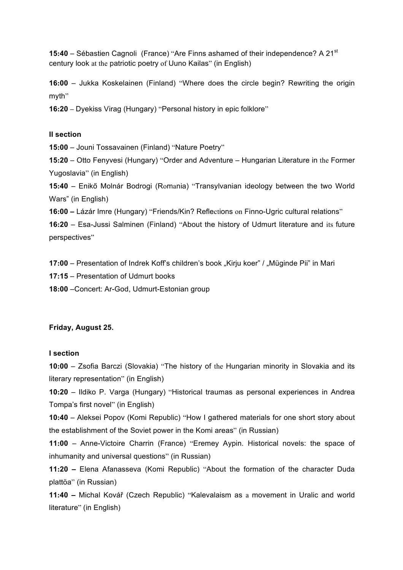**15:40** – Sébastien Cagnoli (France) "Are Finns ashamed of their independence? A 21st century look at the patriotic poetry of Uuno Kailas" (in English)

**16:00** – Jukka Koskelainen (Finland) "Where does the circle begin? Rewriting the origin myth"

**16:20 –** Dyekiss Virag (Hungary) "Personal history in epic folklore"

# **II section**

**15:00** – Jouni Tossavainen (Finland) "Nature Poetry"

**15:20** – Otto Fenyvesi (Hungary) "Order and Adventure – Hungarian Literature in the Former Yugoslavia" (in English)

**15:40** – Enikő Molnár Bodrogi (Romania) "Transylvanian ideology between the two World Wars" (in English)

**16:00 –** Lázár Imre (Hungary) "Friends/Kin? Reflections on Finno-Ugric cultural relations"

**16:20** – Esa-Jussi Salminen (Finland) "About the history of Udmurt literature and its future perspectives"

**17:00** – Presentation of Indrek Koff's children's book "Kirju koer" / "Müginde Pii" in Mari

- **17:15** Presentation of Udmurt books
- **18:00** –Concert: Ar-God, Udmurt-Estonian group

# **Friday, August 25.**

## **I section**

**10:00** – Zsofia Barczi (Slovakia) "The history of the Hungarian minority in Slovakia and its literary representation" (in English)

**10:20** – Ildiko P. Varga (Hungary) "Historical traumas as personal experiences in Andrea Tompa's first novel" (in English)

**10:40** – Aleksei Popov (Komi Republic) "How I gathered materials for one short story about the establishment of the Soviet power in the Komi areas" (in Russian)

**11:00** – Anne-Victoire Charrin (France) "Eremey Aypin. Historical novels: the space of inhumanity and universal questions" (in Russian)

**11:20 –** Elena Afanasseva (Komi Republic) "About the formation of the character Duda plattöa" (in Russian)

**11:40 –** Michal Kovář (Czech Republic) "Kalevalaism as a movement in Uralic and world literature" (in English)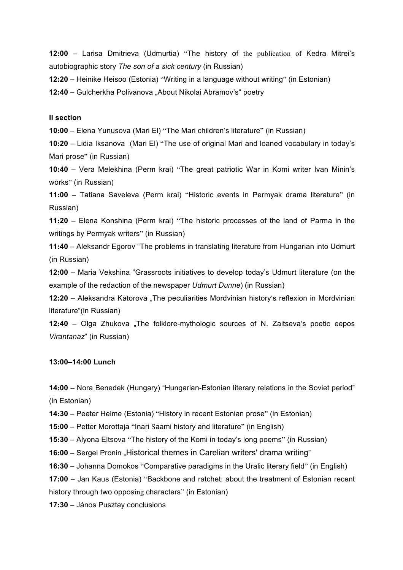**:00** – Larisa Dmitrieva (Udmurtia) "The history of the publication of Kedra Mitrei's autobiographic story *The son of a sick century* (in Russian)

**:20** – Heinike Heisoo (Еstonia) "Writing in a language without writing" (in Estonian)

**:40** – Gulcherkha Polivanova "About Nikolai Abramov's" poetry

#### **II section**

**:00** – Elena Yunusova (Mari El) "The Mari children's literature" (in Russian)

**:20** – Lidia Iksanova (Mari El) "The use of original Mari and loaned vocabulary in today's Mari prose" (in Russian)

**:40** – Vera Melekhina (Perm krai) "The great patriotic War in Komi writer Ivan Minin's works" (in Russian)

**:00** – Tatiana Saveleva (Perm krai) "Historic events in Permyak drama literature" (in Russian)

**:20** – Elena Konshina (Perm krai) "The historic processes of the land of Parma in the writings by Permyak writers" (in Russian)

**:40** – Aleksandr Egorov "The problems in translating literature from Hungarian into Udmurt (in Russian)

**:00** – Maria Vekshina "Grassroots initiatives to develop today's Udmurt literature (on the example of the redaction of the newspaper *Udmurt Dunne*) (in Russian)

**:20** – Aleksandra Katorova "The peculiarities Mordvinian history's reflexion in Mordvinian literature"(in Russian)

**:40** – Olga Zhukova "The folklore-mythologic sources of N. Zaitseva's poetic eepos *Virantanaz*" (in Russian)

#### **:00–14:00 Lunch**

**:00** – Nora Benedek (Hungary) "Hungarian-Estonian literary relations in the Soviet period" (in Estonian)

**:30** – Peeter Helme (Еstonia) "History in recent Estonian prose" (in Estonian)

**:00** – Petter Morottaja "Inari Saami history and literature" (in English)

**:30** – Alyona Eltsova "The history of the Komi in today's long poems" (in Russian)

**:00** – Sergei Pronin "Historical themes in Carelian writers' drama writing"

**:30** – Johanna Domokos "Comparative paradigms in the Uralic literary field" (in English)

**:00** – Jan Kaus (Еstonia) "Backbone and ratchet: about the treatment of Estonian recent

history through two opposing characters" (in Estonian)

**:30** – János Pusztay conclusions